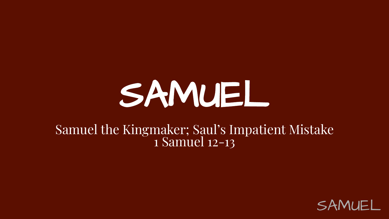# SAMUEL

#### Samuel the Kingmaker; Saul's Impatient Mistake 1 Samuel 12-13

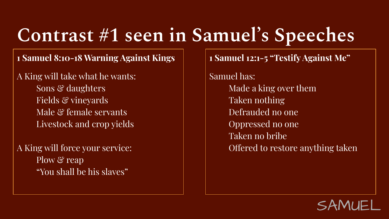#### **Contrast #1 seen in Samuel's Speeches**

**1 Samuel 8:10-18 Warning Against Kings**

A King will take what he wants: Sons & daughters Fields & vineyards Male & female servants Livestock and crop yields

A King will force your service: Plow & reap "You shall be his slaves"

**1 Samuel 12:1-5 "Testify Against Me"**

Samuel has: Made a king over them Taken nothing Defrauded no one Oppressed no one Taken no bribe Offered to restore anything taken

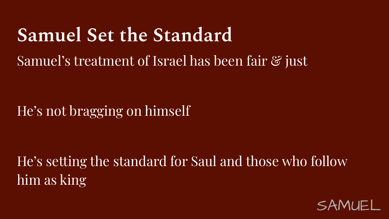#### **Samuel Set the Standard**

#### Samuel's treatment of Israel has been fair & just

He's not bragging on himself

He's setting the standard for Saul and those who follow him as king

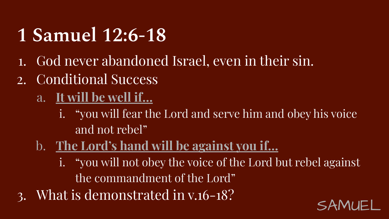#### **1 Samuel 12:6-18**

- 1. God never abandoned Israel, even in their sin.
- 2. Conditional Success
	- a. **It will be well if…**
		- i. "you will fear the Lord and serve him and obey his voice and not rebel"
	- b. **The Lord's hand will be against you if…**
		- i. "you will not obey the voice of the Lord but rebel against the commandment of the Lord"
- 3. What is demonstrated in v.16-18?

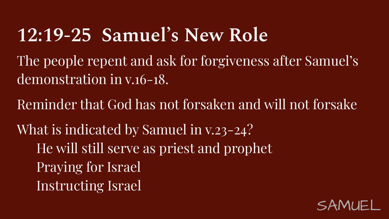#### **12:19-25 Samuel's New Role**

The people repent and ask for forgiveness after Samuel's demonstration in v.16-18.

Reminder that God has not forsaken and will not forsake

What is indicated by Samuel in v.23-24? He will still serve as priest and prophet Praying for Israel Instructing Israel

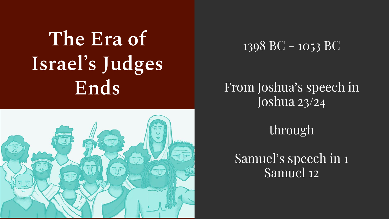### **The Era of Israel's Judges Ends**



1398 BC - 1053 BC

#### From Joshua's speech in Joshua 23/24

through

Samuel's speech in 1 Samuel 12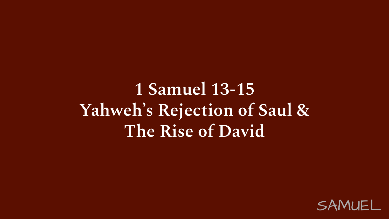#### **1 Samuel 13-15 Yahweh's Rejection of Saul & The Rise of David**

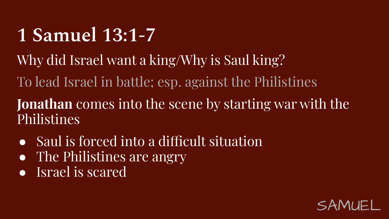#### **1 Samuel 13:1-7**

- Why did Israel want a king/Why is Saul king?
- To lead Israel in battle; esp. against the Philistines
- **Jonathan** comes into the scene by starting war with the Philistines
- Saul is forced into a difficult situation
- The Philistines are angry
- Israel is scared

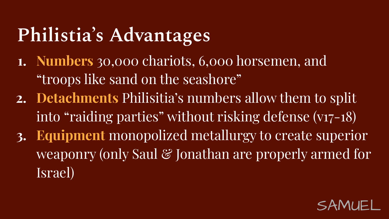### **Philistia's Advantages**

- **1. Numbers** 30,000 chariots, 6,000 horsemen, and "troops like sand on the seashore"
- **2. Detachments** Philisitia's numbers allow them to split into "raiding parties" without risking defense (v17-18)
- **3. Equipment** monopolized metallurgy to create superior weaponry (only Saul & Jonathan are properly armed for Israel)

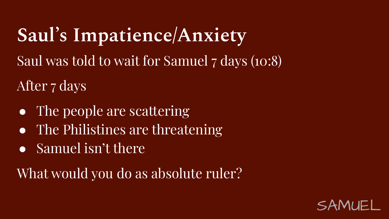## **Saul's Impatience/Anxiety** Saul was told to wait for Samuel 7 days (10:8)

After 7 days

- The people are scattering
- The Philistines are threatening
- Samuel isn't there

What would you do as absolute ruler?

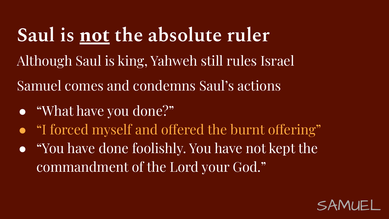**Saul is not the absolute ruler** Although Saul is king, Yahweh still rules Israel Samuel comes and condemns Saul's actions

- "What have you done?"
- "I forced myself and offered the burnt offering"
- "You have done foolishly. You have not kept the commandment of the Lord your God."

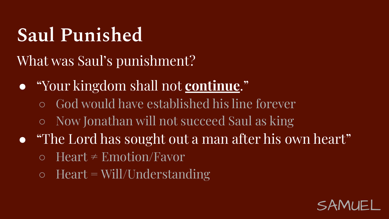### **Saul Punished**

What was Saul's punishment?

- "Your kingdom shall not **continue**."
	- God would have established his line forever
	- Now Jonathan will not succeed Saul as king
- "The Lord has sought out a man after his own heart"
	- $\circ$  Heart  $\neq$  Emotion/Favor
	- $\circ$  Heart = Will/Understanding